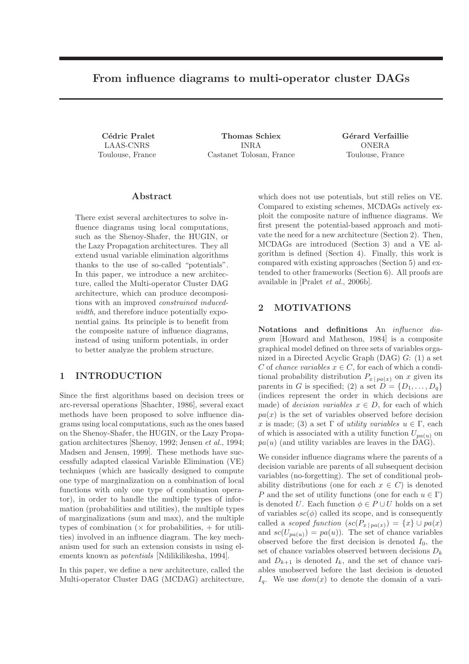# From influence diagrams to multi-operator cluster DAGs

Cédric Pralet LAAS-CNRS Toulouse, France

Thomas Schiex INRA Castanet Tolosan, France Gérard Verfaillie ONERA Toulouse, France

## Abstract

There exist several architectures to solve influence diagrams using local computations, such as the Shenoy-Shafer, the HUGIN, or the Lazy Propagation architectures. They all extend usual variable elimination algorithms thanks to the use of so-called "potentials". In this paper, we introduce a new architecture, called the Multi-operator Cluster DAG architecture, which can produce decompositions with an improved *constrained inducedwidth*, and therefore induce potentially exponential gains. Its principle is to benefit from the composite nature of influence diagrams, instead of using uniform potentials, in order to better analyze the problem structure.

## 1 INTRODUCTION

Since the first algorithms based on decision trees or arc-reversal operations [Shachter, 1986], several exact methods have been proposed to solve influence diagrams using local computations, such as the ones based on the Shenoy-Shafer, the HUGIN, or the Lazy Propagation architectures [Shenoy, 1992; Jensen *et al.*, 1994; Madsen and Jensen, 1999]. These methods have successfully adapted classical Variable Elimination (VE) techniques (which are basically designed to compute one type of marginalization on a combination of local functions with only one type of combination operator), in order to handle the multiple types of information (probabilities and utilities), the multiple types of marginalizations (sum and max), and the multiple types of combination  $(\times$  for probabilities,  $+$  for utilities) involved in an influence diagram. The key mechanism used for such an extension consists in using elements known as *potentials* [Ndilikilikesha, 1994].

In this paper, we define a new architecture, called the Multi-operator Cluster DAG (MCDAG) architecture, which does not use potentials, but still relies on VE. Compared to existing schemes, MCDAGs actively exploit the composite nature of influence diagrams. We first present the potential-based approach and motivate the need for a new architecture (Section 2). Then, MCDAGs are introduced (Section 3) and a VE algorithm is defined (Section 4). Finally, this work is compared with existing approaches (Section 5) and extended to other frameworks (Section 6). All proofs are available in [Pralet *et al.*, 2006b].

# 2 MOTIVATIONS

Notations and definitions An *influence diagram* [Howard and Matheson, 1984] is a composite graphical model defined on three sets of variables organized in a Directed Acyclic Graph (DAG) G: (1) a set C of *chance variables*  $x \in C$ , for each of which a conditional probability distribution  $P_{x \mid pa(x)}$  on x given its parents in G is specified; (2) a set  $D = \{D_1, \ldots, D_q\}$ (indices represent the order in which decisions are made) of *decision variables*  $x \in D$ , for each of which  $pa(x)$  is the set of variables observed before decision x is made; (3) a set  $\Gamma$  of *utility variables*  $u \in \Gamma$ , each of which is associated with a utility function  $U_{pa(u)}$  on  $pa(u)$  (and utility variables are leaves in the DAG).

We consider influence diagrams where the parents of a decision variable are parents of all subsequent decision variables (no-forgetting). The set of conditional probability distributions (one for each  $x \in C$ ) is denoted P and the set of utility functions (one for each  $u \in \Gamma$ ) is denoted U. Each function  $\phi \in P \cup U$  holds on a set of variables  $sc(\phi)$  called its scope, and is consequently called a *scoped function*  $(sc(P_{x \mid pa(x)}) = \{x\} \cup pa(x)$ and  $sc(U_{pa(u)}) = pa(u)$ . The set of chance variables observed before the first decision is denoted  $I_0$ , the set of chance variables observed between decisions  $D_k$ and  $D_{k+1}$  is denoted  $I_k$ , and the set of chance variables unobserved before the last decision is denoted  $I_q$ . We use  $dom(x)$  to denote the domain of a vari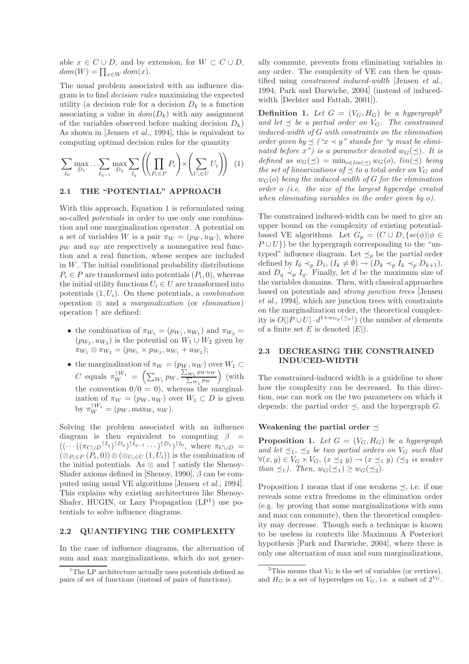able  $x \in C \cup D$ , and by extension, for  $W \subset C \cup D$ ,  $dom(W) = \prod_{x \in W} dom(x).$ 

The usual problem associated with an influence diagram is to find *decision rules* maximizing the expected utility (a decision rule for a decision  $D_k$  is a function associating a value in  $dom(D_k)$  with any assignment of the variables observed before making decision  $D_k$ ) As shown in [Jensen *et al.*, 1994], this is equivalent to computing optimal decision rules for the quantity

$$
\sum_{I_0} \max_{D_1} \dots \sum_{I_{q-1}} \max_{D_q} \sum_{I_q} \left( \left( \prod_{P_i \in P} P_i \right) \times \left( \sum_{U_i \in U} U_i \right) \right) (1)
$$

#### 2.1 THE "POTENTIAL" APPROACH

With this approach, Equation 1 is reformulated using so-called *potentials* in order to use only one combination and one marginalization operator. A potential on a set of variables W is a pair  $\pi_W = (p_W, u_W)$ , where  $p_W$  and  $u_W$  are respectively a nonnegative real function and a real function, whose scopes are included in  $W$ . The initial conditional probability distributions  $P_i \in P$  are transformed into potentials  $(P_i, 0)$ , whereas the initial utility functions  $U_i \in U$  are transformed into potentials (1, Ui). On these potentials, a *combination* operation ⊗ and a *marginalization* (or *elimination*) operation ↑ are defined:

- the combination of  $\pi_{W_1} = (p_{W_1}, u_{W_1})$  and  $\pi_{W_2} =$  $(p_{W_2}, u_{W_2})$  is the potential on  $W_1 \cup W_2$  given by  $\pi_{W_1} \otimes \pi_{W_2} = (p_{W_1} \times p_{W_2}, u_{W_1} + u_{W_2});$
- the marginalization of  $\pi_W = (p_W, u_W)$  over  $W_1 \subset$ C equals  $\pi_W^{\uparrow W_1} = \left( \sum_{W_1} p_W, \frac{\sum_{W_1}}{\sum_{v_1}} \right)$  $p_W u_W$  $\frac{1 P W u_W}{w_1 P w}$  (with the convention  $0/0 = 0$ , whereas the marginalization of  $\pi_W = (p_W, u_W)$  over  $W_1 \subset D$  is given by  $\pi_W^{\uparrow W_1} = (p_W, \max_{W_1} u_W).$

Solving the problem associated with an influence diagram is then equivalent to computing  $\beta =$  $((\cdots((\pi_{C\cup D} \uparrow I_q)\uparrow D_q)\uparrow I_{q-1}\dots)\uparrow D_1)\uparrow I_0$ , where  $\pi_{C\cup D}$  =  $(\otimes_{P_i \in P} (P_i, 0)) \otimes (\otimes_{U_i \in U} (1, U_i))$  is the combination of the initial potentials. As  $\otimes$  and  $\uparrow$  satisfy the Shenoy-Shafer axioms defined in [Shenoy, 1990],  $\beta$  can be computed using usual VE algorithms [Jensen *et al.*, 1994]. This explains why existing architectures like Shenoy-Shafer, HUGIN, or Lazy Propagation  $(LP<sup>1</sup>)$  use potentials to solve influence diagrams.

#### 2.2 QUANTIFYING THE COMPLEXITY

In the case of influence diagrams, the alternation of sum and max marginalizations, which do not generally commute, prevents from eliminating variables in any order. The complexity of VE can then be quantified using *constrained induced-width* [Jensen *et al.*, 1994; Park and Darwiche, 2004] (instead of inducedwidth [Dechter and Fattah, 2001]).

**Definition 1.** Let  $G = (V_G, H_G)$  be a hypergraph<sup>2</sup> and let  $\preceq$  be a partial order on  $V_G$ . The constrained *induced-width of* G *with constraints on the elimination order given by*  $\preceq$  (" $x \prec y$ " *stands for* "*y must be eliminated before*  $x''$ *) is a parameter denoted*  $w_G(\preceq)$ *. It is*  $defined \ as \ w_G(\preceq) = \min_{o \in lin(\prec)} w_G(o), \ lin(\preceq) \ being$ *the set of linearizations of*  $\prec$  *to a total order on*  $V_G$  *and*  $w_G$ (o) *being the induced-width of* G *for the elimination order* o *(i.e. the size of the largest hyperedge created when eliminating variables in the order given by* o*).*

The constrained induced-width can be used to give an upper bound on the complexity of existing potentialbased VE algorithms. Let  $G_p = (C \cup D, \{sc(\phi) | \phi \in$  $P \cup U$ }) be the hypergraph corresponding to the "untyped" influence diagram. Let  $\preceq_p$  be the partial order defined by  $I_0 \prec_p D_1$ ,  $(I_k \neq \emptyset) \rightarrow (D_k \prec_p I_k \prec_p D_{k+1}),$ and  $D_q \prec_p I_q$ . Finally, let d be the maximum size of the variables domains. Then, with classical approaches based on potentials and *strong junction trees* [Jensen *et al.*, 1994], which are junction trees with constraints on the marginalization order, the theoretical complexity is  $O(|P \cup U| \cdot d^{1+w_{G_p}(\preceq_p)})$  (the number of elements of a finite set E is denoted  $|E|$ .

## 2.3 DECREASING THE CONSTRAINED INDUCED-WIDTH

The constrained-induced width is a guideline to show how the complexity can be decreased. In this direction, one can work on the two parameters on which it depends: the partial order  $\preceq$ , and the hypergraph G.

#### Weakening the partial order  $\preceq$

**Proposition 1.** Let  $G = (V_G, H_G)$  be a hypergraph *and let*  $\preceq_1$ ,  $\preceq_2$  *be two partial orders on*  $V_G$  *such that*  $\forall (x, y) \in V_G \times V_G$ ,  $(x \preceq_2 y) \rightarrow (x \preceq_1 y) (\preceq_2 is weaker$ *than*  $\preceq_1$ *). Then,*  $w_G(\preceq_1) \geq w_G(\preceq_2)$ *.* 

Proposition 1 means that if one weakens  $\preceq$ , i.e. if one reveals some extra freedoms in the elimination order (e.g. by proving that some marginalizations with sum and max can commute), then the theoretical complexity may decrease. Though such a technique is known to be useless in contexts like Maximum A Posteriori hypothesis [Park and Darwiche, 2004], where there is only one alternation of max and sum marginalizations,

<sup>&</sup>lt;sup>1</sup>The LP architecture actually uses potentials defined as pairs of set of functions (instead of pairs of functions).

<sup>&</sup>lt;sup>2</sup>This means that  $V_G$  is the set of variables (or vertices), and  $H_G$  is a set of hyperedges on  $V_G$ , i.e. a subset of  $2^{V_G}$ .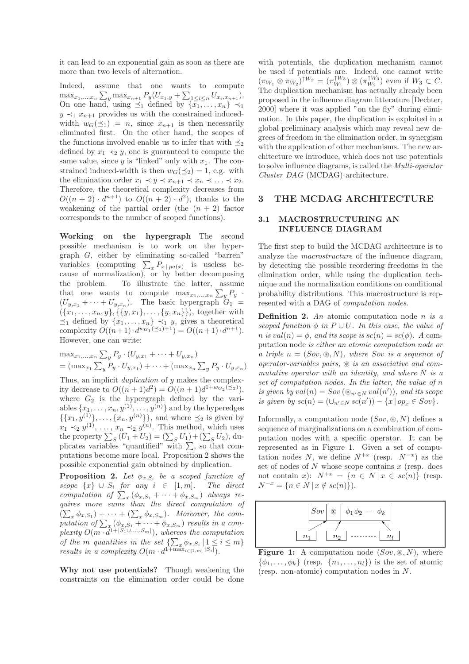it can lead to an exponential gain as soon as there are more than two levels of alternation.

Indeed, assume that one wants to compute  $\max_{x_1,\dots,x_n} \sum_{y} \max_{x_{n+1}} P_y(U_{x_1,y} + \sum_{1 \leq i \leq n} U_{x_i,x_{n+1}}).$ On one hand, using  $\preceq_1$  defined by  $\{\overline{x_1}, \ldots, \overline{x_n}\} \prec_1$  $y \prec_1 x_{n+1}$  provides us with the constrained inducedwidth  $w_G(\preceq_1) = n$ , since  $x_{n+1}$  is then necessarily eliminated first. On the other hand, the scopes of the functions involved enable us to infer that with  $\preceq_2$ defined by  $x_1 \prec_2 y$ , one is guaranteed to compute the same value, since  $y$  is "linked" only with  $x_1$ . The constrained induced-width is then  $w_G(\preceq_2) = 1$ , e.g. with the elimination order  $x_1 \prec y \prec x_{n+1} \prec x_n \prec \ldots \prec x_2$ . Therefore, the theoretical complexity decreases from  $O((n+2) \cdot d^{n+1})$  to  $O((n+2) \cdot d^2)$ , thanks to the weakening of the partial order (the  $(n + 2)$  factor corresponds to the number of scoped functions).

Working on the hypergraph The second possible mechanism is to work on the hypergraph G, either by eliminating so-called "barren" variables (computing  $\sum_{x} P_{x} |_{pa(x)}$  is useless because of normalization), or by better decomposing the problem. To illustrate the latter, assume that one wants to compute  $\max_{x_1,\dots,x_n} \sum_{y} P_y$ .  $(U_{y,x_1} + \cdots + U_{y,x_n}).$  The basic hypergraph  $G_1$  =  $({x_1, \ldots, x_n, y}, {\{y, x_1\}, \ldots, {y, x_n\}})$ , together with  $\preceq_1$  defined by  $\{x_1, \ldots, x_n\} \preceq_1 y$ , gives a theoretical complexity  $O((n+1) \cdot d^{w_{G_1}(\leq 1)+1}) = O((n+1) \cdot d^{n+1}).$ However, one can write:

$$
\max_{x_1, ..., x_n} \sum_{y} P_y \cdot (U_{y,x_1} + \dots + U_{y,x_n})
$$
  
=  $(\max_{x_1} \sum_{y} P_y \cdot U_{y,x_1}) + \dots + (\max_{x_n} \sum_{y} P_y \cdot U_{y,x_n})$ 

Thus, an implicit *duplication* of y makes the complexity decrease to  $O((n+1)d^2) = O((n+1)d^{1+w_{G_2}(\leq_2)}),$ where  $G_2$  is the hypergraph defined by the variables  $\{x_1, \ldots, x_n, y^{(1)}, \ldots, y^{(n)}\}$  and by the hyperedges  $\{\{x_1, y^{(1)}\}, \ldots, \{x_n, y^{(n)}\}\}\$ , and where  $\preceq_2$  is given by  $x_1 \prec_2 y^{(1)}, \ldots, x_n \prec_2 y^{(n)}$ . This method, which uses the property  $\sum_S (U_1 + U_2) = (\sum_S U_1) + (\sum_S U_2)$ , duplicates variables "quantified" with  $\sum$ , so that computations become more local. Proposition 2 shows the possible exponential gain obtained by duplication.

**Proposition 2.** Let  $\phi_{x,S_i}$  be a scoped function of *scope*  ${x}$  ∪  $S_i$  *for any*  $i \in [1, m]$ *. The direct computation of*  $\sum_{x} (\phi_{x,S_1} + \cdots + \phi_{x,S_m})$  *always requires more sums than the direct computation of*  $(\sum_{x} \phi_{x,S_1}) + \cdots + (\sum_{x} \phi_{x,S_m})$ . Moreover, the computation of  $\sum_{x}$  ( $\phi_{x,S_1}$  +  $\cdots$  +  $\phi_{x,S_m}$ ) *results in a com* $plexity\ O(m \cdot d^{1+|S_1 \cup \ldots \cup S_m|}),$  whereas the computation *of the m quantities in the set*  $\{\sum_x \phi_{x,S_i} | 1 \leq i \leq m\}$ *results in a complexity*  $O(m \cdot d^{1 + \max_{i \in [1,m]} |S_i|}).$ 

Why not use potentials? Though weakening the constraints on the elimination order could be done with potentials, the duplication mechanism cannot be used if potentials are. Indeed, one cannot write  $(\pi_{W_1} \otimes \pi_{W_2})^{\uparrow W_3} = (\pi_{W_1}^{\uparrow W_3}) \otimes (\pi_{W_2}^{\uparrow W_3})$  even if  $W_3 \subset C$ . The duplication mechanism has actually already been proposed in the influence diagram litterature [Dechter, 2000] where it was applied "on the fly" during elimination. In this paper, the duplication is exploited in a global preliminary analysis which may reveal new degrees of freedom in the elimination order, in synergism with the application of other mechanisms. The new architecture we introduce, which does not use potentials to solve influence diagrams, is called the *Multi-operator Cluster DAG* (MCDAG) architecture.

### 3 THE MCDAG ARCHITECTURE

## 3.1 MACROSTRUCTURING AN INFLUENCE DIAGRAM

The first step to build the MCDAG architecture is to analyze the *macrostructure* of the influence diagram, by detecting the possible reordering freedoms in the elimination order, while using the duplication technique and the normalization conditions on conditional probability distributions. This macrostructure is represented with a DAG of *computation nodes*.

Definition 2. *An* atomic computation node n *is a scoped function*  $\phi$  *in*  $P \cup U$ *. In this case, the value of*  $n$  *is* val $(n) = \phi$ , and *its scope is*  $sc(n) = sc(\phi)$ . A computation node *is either an atomic computation node or a triple* n = (Sov, ⊛, N)*, where* Sov *is a sequence of operator-variables pairs,* ⊛ *is an associative and commutative operator with an identity, and where* N *is a set of computation nodes. In the latter, the value of* n *is given by*  $val(n) = Sov(\mathcal{D}_{n' \in N} val(n'))$ *, and its scope is given by*  $sc(n) = (\cup_{n' \in N} sc(n')) - \{x \mid op_x \in Sov\}.$ 

Informally, a computation node  $(Sov, \mathcal{R}, N)$  defines a sequence of marginalizations on a combination of computation nodes with a specific operator. It can be represented as in Figure 1. Given a set of computation nodes N, we define  $N^{+x}$  (resp.  $N^{-x}$ ) as the set of nodes of  $N$  whose scope contains  $x$  (resp. does not contain x):  $N^{+x} = \{n \in N \mid x \in sc(n)\}\$  (resp.  $N^{-x} = \{n \in N \mid x \notin sc(n)\}\.$ 



Figure 1: A computation node  $(Sov, \mathcal{R}, N)$ , where  $\{\phi_1,\ldots,\phi_k\}$  (resp.  $\{n_1,\ldots,n_l\}$ ) is the set of atomic (resp. non-atomic) computation nodes in N.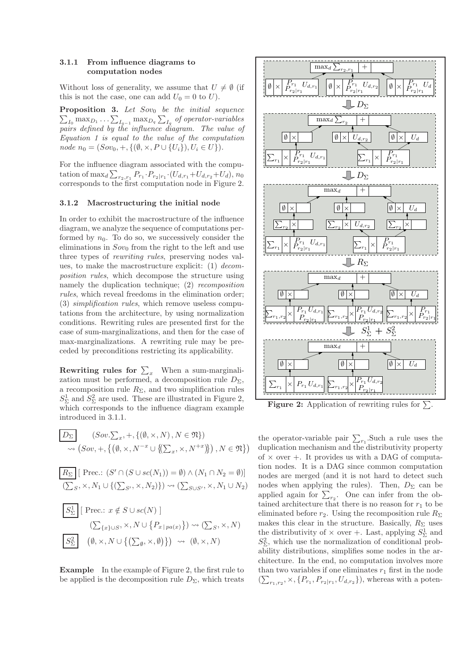## 3.1.1 From influence diagrams to computation nodes

Without loss of generality, we assume that  $U \neq \emptyset$  (if this is not the case, one can add  $U_0 = 0$  to U).

**Proposition 3.** Let Sov<sub>0</sub> be the initial sequence  $\sum_{I_0} \max_{D_1} \ldots \sum_{I_{q-1}} \max_{D_q} \sum_{I_q}$  of operator-variables *pairs defined by the influence diagram. The value of Equation 1 is equal to the value of the computation node*  $n_0 = (Sov_0, +, \{(\emptyset, \times, P \cup \{U_i\}), U_i \in U\}).$ 

For the influence diagram associated with the computation of max<sub>d</sub>  $\sum_{r_2,r_1} P_{r_1} \cdot P_{r_2|r_1} \cdot (U_{d,r_1} + U_{d,r_2} + U_d)$ , n<sub>0</sub> corresponds to the first computation node in Figure 2.

#### 3.1.2 Macrostructuring the initial node

In order to exhibit the macrostructure of the influence diagram, we analyze the sequence of computations performed by  $n_0$ . To do so, we successively consider the eliminations in  $Sov_0$  from the right to the left and use three types of *rewriting rules*, preserving nodes values, to make the macrostructure explicit: (1) *decomposition rules*, which decompose the structure using namely the duplication technique; (2) *recomposition rules*, which reveal freedoms in the elimination order; (3) *simplification rules*, which remove useless computations from the architecture, by using normalization conditions. Rewriting rules are presented first for the case of sum-marginalizations, and then for the case of max-marginalizations. A rewriting rule may be preceded by preconditions restricting its applicability.

**Rewriting rules for**  $\sum_{x}$  When a sum-marginalization must be performed, a decomposition rule  $D_{\Sigma}$ , a recomposition rule  $R_{\Sigma}$ , and two simplification rules  $S^1_{\Sigma}$  and  $S^2_{\Sigma}$  are used. These are illustrated in Figure 2, which corresponds to the influence diagram example introduced in 3.1.1.

$$
\overline{D_{\Sigma}} \quad (Sov. \sum_{x}, +, \{ (\emptyset, \times, N), N \in \mathfrak{N} \})
$$

$$
\rightsquigarrow (Sov, +, \{ (\emptyset, \times, N^{-x} \cup \{ (\sum_{x}, \times, N^{+x}) \} ), N \in \mathfrak{N} \})
$$

$$
\boxed{R_{\Sigma}} \left[ \text{Prec: } (S' \cap (S \cup sc(N_1)) = \emptyset) \land (N_1 \cap N_2 = \emptyset) \right]
$$
  

$$
(\sum_{S} \times N_1 \cup \{ (\sum_{S'}, \times, N_2) \}) \rightsquigarrow (\sum_{S \cup S'}, \times, N_1 \cup N_2)
$$
  

$$
\boxed{S_{\Sigma}^1} \left[ \text{Prec: } x \notin S \cup sc(N) \right]
$$

$$
\begin{array}{c}\n\begin{array}{c}\n(\sum_{\{x\}\cup S}, \times, N \cup \{P_{x \mid pa(x)}\}) \rightsquigarrow (\sum_{S}, \times, N) \\
\hline\n\begin{array}{c}\n\overline{S_{\Sigma}^2}\n\end{array}\n\end{array}\n\quad (\emptyset, \times, N \cup \{(\sum_{\emptyset}, \times, \emptyset)\}) \rightsquigarrow (\emptyset, \times, N)\n\end{array}
$$

Example In the example of Figure 2, the first rule to be applied is the decomposition rule  $D_{\Sigma}$ , which treats



**Figure 2:** Application of rewriting rules for  $\Sigma$ .

the operator-variable pair  $\sum_{r_1}$ . Such a rule uses the duplication mechanism and the distributivity property of  $\times$  over  $+$ . It provides us with a DAG of computation nodes. It is a DAG since common computation nodes are merged (and it is not hard to detect such nodes when applying the rules). Then,  $D_{\Sigma}$  can be applied again for  $\sum_{r_2}$ . One can infer from the obtained architecture that there is no reason for  $r_1$  to be eliminated before  $r_2$ . Using the recomposition rule  $R_{\Sigma}$ makes this clear in the structure. Basically,  $R_{\Sigma}$  uses the distributivity of  $\times$  over +. Last, applying  $S^1_{\Sigma}$  and  $S_{\Sigma}^2$ , which use the normalization of conditional probability distributions, simplifies some nodes in the architecture. In the end, no computation involves more than two variables if one eliminates  $r_1$  first in the node  $(\sum_{r_1,r_2}, \times, \{P_{r_1}, P_{r_2|r_1}, U_{d,r_2}\})$ , whereas with a poten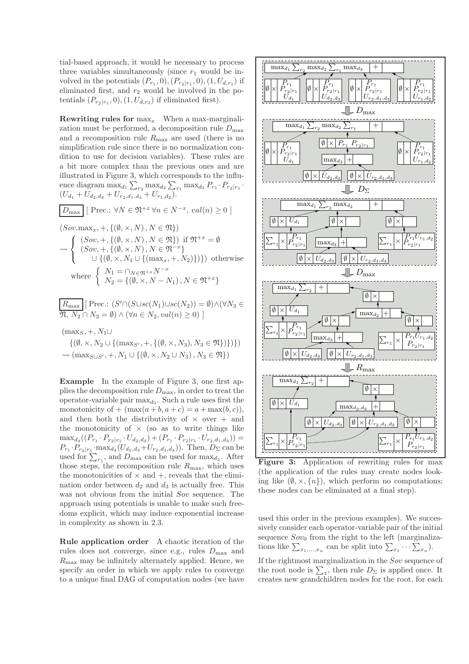tial-based approach, it would be necessary to process three variables simultaneously (since  $r_1$  would be involved in the potentials  $(P_{r_1}, 0), (P_{r_2|r_1}, 0), (1, U_{d,r_1})$  if eliminated first, and  $r_2$  would be involved in the potentials  $(P_{r_2|r_1}, 0), (1, U_{d,r_2})$  if eliminated first).

**Rewriting rules for**  $\max_{x}$  When a max-marginalization must be performed, a decomposition rule  $D_{\text{max}}$ and a recomposition rule  $R_{\text{max}}$  are used (there is no simplification rule since there is no normalization condition to use for decision variables). These rules are a bit more complex than the previous ones and are illustrated in Figure 3, which corresponds to the influence diagram  $\max_{d_1} \sum_{r_2} \max_{d_2} \sum_{r_1} \max_{d_3} P_{r_1} \cdot P_{r_2|r_1}$ .  $(U_{d_1} + U_{d_2,d_3} + U_{r_2,d_1,d_3} + U_{r_1,d_2}).$ 

$$
\boxed{D_{\text{max}}} \,[\,\text{Prec.:}\,\,\forall N \in \mathfrak{N}^{+x} \,\forall n \in N^{-x},\, \text{val}(n) \geq 0 \,]
$$

$$
(Sov.max_x, +, \{(\emptyset, \times, N), N \in \mathfrak{N}\})
$$
  
\$\sim\$ 
$$
\left\{\n\begin{array}{l}\n(Sov, +, \{(\emptyset, \times, N), N \in \mathfrak{N}\}) \text{ if } \mathfrak{N}^{+x} = \emptyset \\
(Sov, +, \{(\emptyset, \times, N), N \in \mathfrak{N}^{-x}\} \\
\cup \{(\emptyset, \times, N_1 \cup \{(\max_x, +, N_2)\})\}) \text{ otherwise} \\
\text{where } \n\left\{\n\begin{array}{l}\nN_1 = \bigcap_{N \in \mathfrak{N}^{+x}} N^{-x} \\
N_2 = \{(\emptyset, \times, N - N_1), N \in \mathfrak{N}^{+x}\}\n\end{array}\n\right.
$$

$$
\boxed{R_{\max}} [\text{Prec: } (S' \cap (S \cup sc(N_1) \cup sc(N_2)) = \emptyset) \land (\forall N_3 \in \mathfrak{N}, N_2 \cap N_3 = \emptyset) \land (\forall n \in N_2, val(n) \ge 0)]}
$$

 $(\text{max}_S, +, N_1 \cup$  $\{(\emptyset, \times, N_2 \cup \{(\max_{S'}, +, \{(\emptyset, \times, N_3), N_3 \in \mathfrak{N}\})\})\}\$  $\rightsquigarrow$  (max<sub>S∪S'</sub>, +, N<sub>1</sub> ∪ {( $\emptyset$ ,  $\times$ , N<sub>2</sub> ∪ N<sub>3</sub>), N<sub>3</sub> ∈  $\mathfrak{N}$ })

Example In the example of Figure 3, one first applies the decomposition rule  $D_{\text{max}}$ , in order to treat the operator-variable pair  $\max_{d_3}$ . Such a rule uses first the monotonicity of  $+$   $(\max(a+b, a+c) = a + \max(b, c)),$ and then both the distributivity of  $\times$  over  $+$  and the monotonicity of  $\times$  (so as to write things like  $\max_{d_3}((P_{r_1}\cdot P_{r_2|r_1}\cdot U_{d_2,d_3})+(P_{r_1}\cdot P_{r_2|r_1}\cdot U_{r_2,d_1,d_3}))=$  $P_{r_1} \cdot P_{r_2|r_1} \cdot \max_{d_3}(U_{d_2,d_3}+U_{r_2,d_1,d_3})$ ). Then,  $D_{\Sigma}$  can be used for  $\sum_{r_1}$ , and  $D_{\text{max}}$  can be used for  $\max_{d_2}$ . After those steps, the recomposition rule  $R_{\text{max}}$ , which uses the monotonicities of  $\times$  and  $+$ , reveals that the elimination order between  $d_2$  and  $d_3$  is actually free. This was not obvious from the initial Sov sequence. The approach using potentials is unable to make such freedoms explicit, which may induce exponential increase in complexity as shown in 2.3.

Rule application order A chaotic iteration of the rules does not converge, since e.g., rules  $D_{\text{max}}$  and  $R_{\text{max}}$  may be infinitely alternately applied. Hence, we specify an order in which we apply rules to converge to a unique final DAG of computation nodes (we have



Figure 3: Application of rewriting rules for max (the application of the rules may create nodes looking like  $(\emptyset, \times, \{n\})$ , which perform no computations; these nodes can be eliminated at a final step).

used this order in the previous examples). We successively consider each operator-variable pair of the initial sequence  $Sov_0$  from the right to the left (marginalizations like  $\sum_{x_1,\dots,x_n}$  can be split into  $\sum_{x_1}\cdots\sum_{x_n}$ ).

If the rightmost marginalization in the Sov sequence of the root node is  $\sum_{x}$ , then rule  $D_{\Sigma}$  is applied once. It creates new grandchildren nodes for the root, for each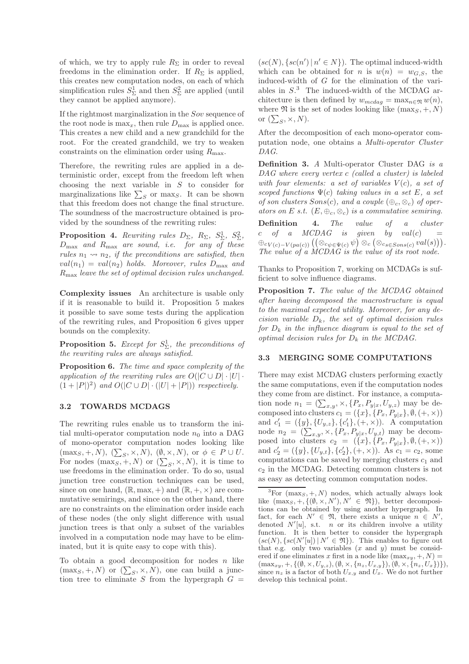of which, we try to apply rule  $R_{\Sigma}$  in order to reveal freedoms in the elimination order. If  $R_{\Sigma}$  is applied, this creates new computation nodes, on each of which simplification rules  $S^1_{\Sigma}$  and then  $S^2_{\Sigma}$  are applied (until they cannot be applied anymore).

If the rightmost marginalization in the Sov sequence of the root node is  $\max_x$ , then rule  $D_{\max}$  is applied once. This creates a new child and a new grandchild for the root. For the created grandchild, we try to weaken constraints on the elimination order using  $R_{\text{max}}$ .

Therefore, the rewriting rules are applied in a deterministic order, except from the freedom left when choosing the next variable in S to consider for marginalizations like  $\sum_{S}$  or max<sub>S</sub>. It can be shown that this freedom does not change the final structure. The soundness of the macrostructure obtained is provided by the soundness of the rewriting rules:

**Proposition 4.** Rewriting rules  $D_{\Sigma}$ ,  $R_{\Sigma}$ ,  $S_{\Sigma}^1$ ,  $S_{\Sigma}^2$ , Dmax *and* Rmax *are sound, i.e. for any of these rules*  $n_1 \rightarrow n_2$ *, if the preconditions are satisfied, then*  $val(n_1) = val(n_2)$  *holds. Moreover, rules*  $D_{\text{max}}$  *and* Rmax *leave the set of optimal decision rules unchanged.*

Complexity issues An architecture is usable only if it is reasonable to build it. Proposition 5 makes it possible to save some tests during the application of the rewriting rules, and Proposition 6 gives upper bounds on the complexity.

Proposition 5. *Except for* S 1 <sup>Σ</sup>*, the preconditions of the rewriting rules are always satisfied.*

Proposition 6. *The time and space complexity of the application of the rewriting rules are*  $O(|C \cup D| \cdot |U|)$ .  $(1+|P|)^2)$  and  $O(|C \cup D| \cdot (|U|+|P|))$  respectively.

#### 3.2 TOWARDS MCDAGS

The rewriting rules enable us to transform the initial multi-operator computation node  $n_0$  into a DAG of mono-operator computation nodes looking like  $(\max_S, +, N), (\sum_S, \times, N), (\emptyset, \times, N), \text{ or } \phi \in P \cup U.$ For nodes  $(\max_S, +, N)$  or  $(\sum_S, \times, N)$ , it is time to use freedoms in the elimination order. To do so, usual junction tree construction techniques can be used, since on one hand,  $(\mathbb{R}, \max, +)$  and  $(\mathbb{R}, +, \times)$  are commutative semirings, and since on the other hand, there are no constraints on the elimination order inside each of these nodes (the only slight difference with usual junction trees is that only a subset of the variables involved in a computation node may have to be eliminated, but it is quite easy to cope with this).

To obtain a good decomposition for nodes  $n$  like  $(\max_S, +, N)$  or  $(\sum_S, \times, N)$ , one can build a junction tree to eliminate S from the hypergraph  $G =$ 

 $(sc(N), \{sc(n') | n' \in N\})$ . The optimal induced-width which can be obtained for *n* is  $w(n) = w_{G,S}$ , the induced-width of G for the elimination of the variables in  $S^3$ . The induced-width of the MCDAG architecture is then defined by  $w_{mcdaq} = \max_{n \in \mathfrak{N}} w(n)$ , where  $\mathfrak N$  is the set of nodes looking like  $(\max_{S} , +, N)$ or  $(\sum_S, \times, N)$ .

After the decomposition of each mono-operator computation node, one obtains a *Multi-operator Cluster DAG*.

Definition 3. *A* Multi-operator Cluster DAG *is a DAG where every vertex* c *(called a cluster) is labeled with four elements: a set of variables*  $V(c)$ *, a set of scoped functions* Ψ(c) *taking values in a set* E*, a set of son clusters*  $Sons(c)$ *, and a couple*  $(\oplus_c, \otimes_c)$  *of operators on* E *s.t.*  $(E, \oplus_c, \otimes_c)$  *is a commutative semiring.* Definition 4. *The value of a cluster*  $c$  *of a MCDAG is given by val(c)*  $=$  $\oplus_{c\,V(c)-V(pa(c))}\big((\otimes_{c\psi\in\Psi(c)}\psi\big)\otimes_c(\otimes_{cs\in Sons(c)}val(s))\big).$ *The value of a MCDAG is the value of its root node.*

Thanks to Proposition 7, working on MCDAGs is sufficient to solve influence diagrams.

Proposition 7. *The value of the MCDAG obtained after having decomposed the macrostructure is equal to the maximal expected utility. Moreover, for any decision variable* Dk*, the set of optimal decision rules for* D<sup>k</sup> *in the influence diagram is equal to the set of optimal decision rules for* D<sup>k</sup> *in the MCDAG.*

#### 3.3 MERGING SOME COMPUTATIONS

There may exist MCDAG clusters performing exactly the same computations, even if the computation nodes they come from are distinct. For instance, a computation node  $n_1 = (\sum_{x,y}, \times, \{P_x, P_{y|x}, U_{y,z})\}$  may be decomposed into clusters  $c_1 = (\{x\}, \{P_x, P_{y|x}\}, \emptyset, (+, \times))$ and  $c'_1 = (\{y\}, \{U_{y,z}\}, \{c'_1\}, (+, \times))$ . A computation node  $n_2 = (\sum_{x,y}, \times, \{P_x, P_{y|x}, U_{y,t})$  may be decomposed into clusters  $c_2 = (\{x\}, \{P_x, P_{y|x}\}, \emptyset, (+, \times))$ and  $c'_2 = (\{y\}, \{U_{y,t}\}, \{c'_2\}, (+, \times))$ . As  $c_1 = c_2$ , some computations can be saved by merging clusters  $c_1$  and  $c_2$  in the MCDAG. Detecting common clusters is not as easy as detecting common computation nodes.

 ${}^{3}$ For (max<sub>S</sub>, +, N) nodes, which actually always look like  $(\max_{S_1}, +, \{(\emptyset, \times, N'), N' \in \mathfrak{N}\}),$  better decompositions can be obtained by using another hypergraph. In fact, for each  $N' \in \mathfrak{N}$ , there exists a unique  $n \in N'$ , denoted  $N'[u]$ , s.t. *n* or its children involve a utility function. It is then better to consider the hypergraph  $(sc(N), \{sc(N'|u]) | N' \in \mathfrak{N}\})$ . This enables to figure out that e.g. only two variables  $(x \text{ and } y)$  must be considered if one eliminates x first in a node like  $(\max_{xy}, +, N)$  $(\max_{xy}, +, \{(\emptyset, \times, U_{y,z}), (\emptyset, \times, \{n_z, U_{x,y}\}), (\emptyset, \times, \{n_z, U_x\})\}),$ since  $n_z$  is a factor of both  $U_{x,y}$  and  $U_x$ . We do not further develop this technical point.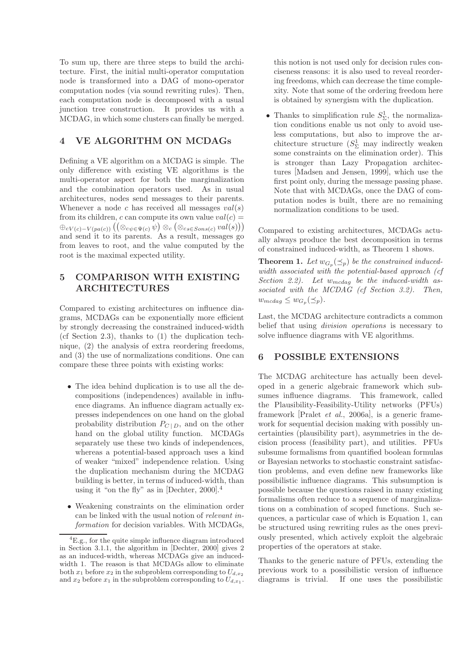To sum up, there are three steps to build the architecture. First, the initial multi-operator computation node is transformed into a DAG of mono-operator computation nodes (via sound rewriting rules). Then, each computation node is decomposed with a usual junction tree construction. It provides us with a MCDAG, in which some clusters can finally be merged.

## 4 VE ALGORITHM ON MCDAGs

Defining a VE algorithm on a MCDAG is simple. The only difference with existing VE algorithms is the multi-operator aspect for both the marginalization and the combination operators used. As in usual architectures, nodes send messages to their parents. Whenever a node c has received all messages  $val(s)$ from its children, c can compute its own value  $val(c) =$  $\oplus_{cV(c)-V(pa(c))} ((\otimes_{c\psi \in \Psi(c)} \psi) \otimes_c (\otimes_{cs\in Sons(c)} val(s)))$ and send it to its parents. As a result, messages go from leaves to root, and the value computed by the root is the maximal expected utility.

# 5 COMPARISON WITH EXISTING ARCHITECTURES

Compared to existing architectures on influence diagrams, MCDAGs can be exponentially more efficient by strongly decreasing the constrained induced-width (cf Section 2.3), thanks to (1) the duplication technique, (2) the analysis of extra reordering freedoms, and (3) the use of normalizations conditions. One can compare these three points with existing works:

- The idea behind duplication is to use all the decompositions (independences) available in influence diagrams. An influence diagram actually expresses independences on one hand on the global probability distribution  $P_{C|D}$ , and on the other hand on the global utility function. MCDAGs separately use these two kinds of independences, whereas a potential-based approach uses a kind of weaker "mixed" independence relation. Using the duplication mechanism during the MCDAG building is better, in terms of induced-width, than using it "on the fly" as in [Dechter, 2000]. 4
- Weakening constraints on the elimination order can be linked with the usual notion of *relevant information* for decision variables. With MCDAGs,

this notion is not used only for decision rules conciseness reasons: it is also used to reveal reordering freedoms, which can decrease the time complexity. Note that some of the ordering freedom here is obtained by synergism with the duplication.

• Thanks to simplification rule  $S^1_{\Sigma}$ , the normalization conditions enable us not only to avoid useless computations, but also to improve the architecture structure  $(S^1_{\Sigma} \text{ may indirectly weak})$ some constraints on the elimination order). This is stronger than Lazy Propagation architectures [Madsen and Jensen, 1999], which use the first point only, during the message passing phase. Note that with MCDAGs, once the DAG of computation nodes is built, there are no remaining normalization conditions to be used.

Compared to existing architectures, MCDAGs actually always produce the best decomposition in terms of constrained induced-width, as Theorem 1 shows.

**Theorem 1.** Let  $w_{G_p}(\preceq_p)$  be the constrained induced*width associated with the potential-based approach (cf* Section 2.2). Let  $w_{mcdag}$  be the induced-width as*sociated with the MCDAG (cf Section 3.2). Then,*  $w_{mcdag} \leq w_{G_p}(\preceq_p).$ 

Last, the MCDAG architecture contradicts a common belief that using *division operations* is necessary to solve influence diagrams with VE algorithms.

# 6 POSSIBLE EXTENSIONS

The MCDAG architecture has actually been developed in a generic algebraic framework which subsumes influence diagrams. This framework, called the Plausibility-Feasibility-Utility networks (PFUs) framework [Pralet *et al.*, 2006a], is a generic framework for sequential decision making with possibly uncertainties (plausibility part), asymmetries in the decision process (feasibility part), and utilities. PFUs subsume formalisms from quantified boolean formulas or Bayesian networks to stochastic constraint satisfaction problems, and even define new frameworks like possibilistic influence diagrams. This subsumption is possible because the questions raised in many existing formalisms often reduce to a sequence of marginalizations on a combination of scoped functions. Such sequences, a particular case of which is Equation 1, can be structured using rewriting rules as the ones previously presented, which actively exploit the algebraic properties of the operators at stake.

Thanks to the generic nature of PFUs, extending the previous work to a possibilistic version of influence diagrams is trivial. If one uses the possibilistic

 ${}^{4}E.g.,$  for the quite simple influence diagram introduced in Section 3.1.1, the algorithm in [Dechter, 2000] gives 2 as an induced-width, whereas MCDAGs give an inducedwidth 1. The reason is that MCDAGs allow to eliminate both  $x_1$  before  $x_2$  in the subproblem corresponding to  $U_{d,x_2}$ and  $x_2$  before  $x_1$  in the subproblem corresponding to  $U_{d,x_1}$ .